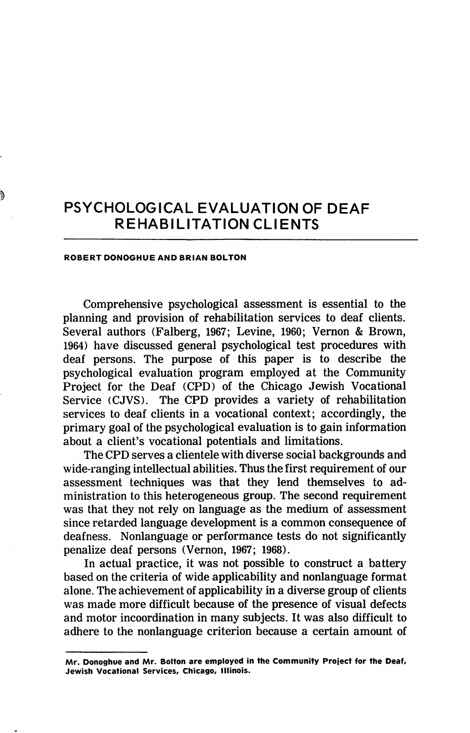# PSYCHOLOGICAL EVALUATION OF DEAF REHABILITATION CLIENTS

#### ROBERT DONOGHUE AND BRIAN BOLTON

Comprehensive psychological assessment is essential to the planning and provision of rehabilitation services to deaf clients. Several authors (Falberg, 1967; Levine, 1960; Vernon & Brown, 1964) have discussed general psychological test procedures with deaf persons. The purpose of this paper is to describe the psychological evaluation program employed at the Community Project for the Deaf (CPD) of the Chicago Jewish Vocational Service (CJVS). The CPD provides a variety of rehabilitation services to deaf clients in a vocational context; accordingly, the primary goal of the psychological evaluation is to gain information about a client's vocational potentials and limitations.

The CPD serves a clientele with diverse social backgrounds and wide-ranging intellectual abilities. Thus the first requirement of our assessment techniques was that they lend themselves to ad ministration to this heterogeneous group. The second requirement was that they not rely on language as the medium of assessment since retarded language development is a common consequence of deafness. Nonlanguage or performance tests do not significantly penalize deaf persons (Vernon, 1967; 1968).

In actual practice, it was not possible to construct a battery based on the criteria of wide applicability and nonlanguage format alone. The achievement of applicability in a diverse group of clients was made more difficult because of the presence of visual defects and motor incoordination in many subjects. It was also difficult to adhere to the nonlanguage criterion because a certain amount of

Mr. Donoghue and Mr. Bolton are employed in the Community Project for the Deaf, Jewish Vocational Services, Chicago, Illinois.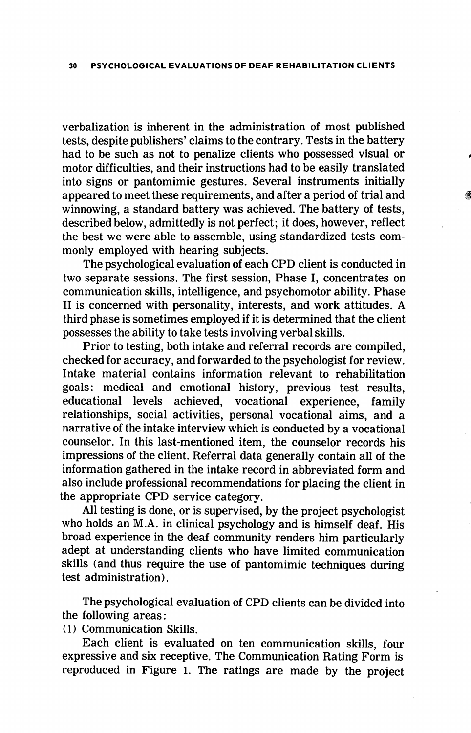verbalization is inherent in the administration of most published tests, despite publishers' claims to the contrary. Tests in the battery had to be such as not to penalize clients who possessed visual or motor difficulties, and their instructions had to be easily translated into signs or pantomimic gestures. Several instruments initially appeared to meet these requirements, and after a period of trial and winnowing, a standard battery was achieved. The battery of tests, described below, admittedly is not perfect; it does, however, reflect the best we were able to assemble, using standardized tests com monly employed with hearing subjects.

The psychological evaluation of each CPD client is conducted in two separate sessions. The first session. Phase I, concentrates on communication skills, intelligence, and psychomotor ability. Phase II is concerned with personality, interests, and work attitudes. A third phase is sometimes employed if it is determined that the client possesses the ability to take tests involving verbal skills.

Prior to testing, both intake and referral records are compiled, checked for accuracy, and forwarded to the psychologist for review. Intake material contains information relevant to rehabilitation goals: medical and emotional history, previous test results, educational levels achieved, vocational experience, family relationships, social activities, personal vocational aims, and a narrative of the intake interview which is conducted by a vocational counselor. In this last-mentioned item, the counselor records his impressions of the client. Referral data generally contain all of the information gathered in the intake record in abbreviated form and also include professional recommendations for placing the client in the appropriate CPD service category.

All testing is done, or is supervised, by the project psychologist who holds an M.A. in clinical psychology and is himself deaf. His broad experience in the deaf community renders him particularly adept at understanding clients who have limited communication skills (and thus require the use of pantomimic techniques during test administration).

The psychological evaluation of CPD clients can be divided into the following areas:

(1) Communication Skills.

Each client is evaluated on ten communication skills, four expressive and six receptive. The Communication Rating Form is reproduced in Figure 1. The ratings are made by the project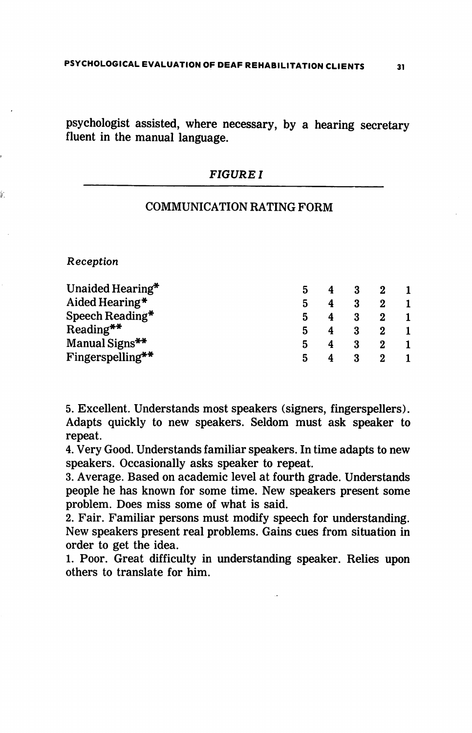psychologist assisted, where necessary, by a hearing secretary fluent in the manual language.

# FIGURE I

# COMMUNICATION RATING FORM

Reception

| Unaided Hearing* |   |  |  |
|------------------|---|--|--|
| Aided Hearing*   | 5 |  |  |
| Speech Reading*  |   |  |  |
| $Reading**$      |   |  |  |
| Manual Signs**   |   |  |  |
| Fingerspelling** |   |  |  |

5. Excellent. Understands most speakers (signers, fingerspellers). Adapts quickly to new speakers. Seldom must ask speaker to repeat.

4. Very Good. Understands familiar speakers. In time adapts to new speakers. Occasionally asks speaker to repeat.

3. Average. Based on academic level at fourth grade. Understands people he has known for some time. New speakers present some problem. Does miss some of what is said.

2. Fair. Familiar persons must modify speech for understanding. New speakers present real problems. Gains cues from situation in order to get the idea.

1. Poor. Great difficulty in understanding speaker. Relies upon others to translate for him.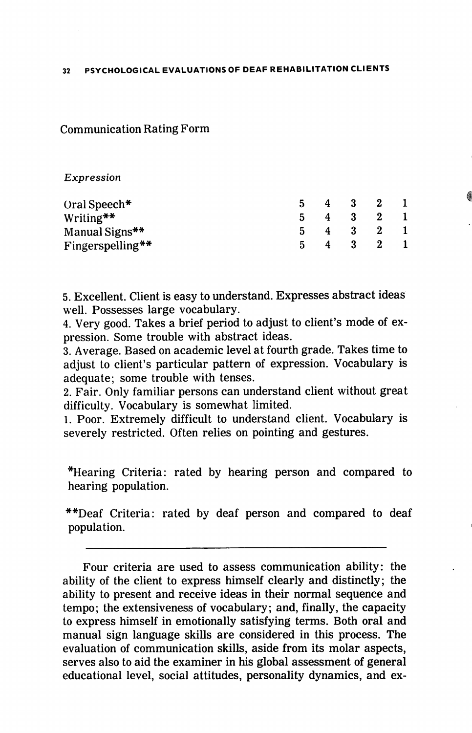Communication Rating Form

## Expression

| Oral Speech*     |     | $5 \quad 4$ | - 3     | $\mathbf{2}$            |  |
|------------------|-----|-------------|---------|-------------------------|--|
| Writing**        | -5. |             | 4 3 2   |                         |  |
| Manual Signs**   |     |             | 4 3 2 1 |                         |  |
| Fingerspelling** |     |             | - 3     | $\overline{\mathbf{2}}$ |  |

5. Excellent. Client is easy to understand. Expresses abstract ideas well. Possesses large vocabulary.

4. Very good. Takes a brief period to adjust to client's mode of ex pression. Some trouble with abstract ideas.

3. Average. Based on academic level at fourth grade. Takes time to adjust to client's particular pattern of expression. Vocabulary is adequate; some trouble with tenses.

2. Fair. Only familiar persons can understand client without great difficulty. Vocabulary is somewhat limited.

1. Poor. Extremely difficult to understand client. Vocabulary is severely restricted. Often relies on pointing and gestures.

\*Hearing Criteria: rated by hearing person and compared to hearing population.

\*\*Deaf Criteria: rated by deaf person and compared to deaf population.

Four criteria are used to assess communication ability: the ability of the client to express himself clearly and distinctly; the ability to present and receive ideas in their normal sequence and tempo; the extensiveness of vocabulary; and, finally, the capacity to express himself in emotionally satisfying terms. Both oral and manual sign language skills are considered in this process. The evaluation of communication skills, aside from its molar aspects, serves also to aid the examiner in his global assessment of general educational level, social attitudes, personality dynamics, and ex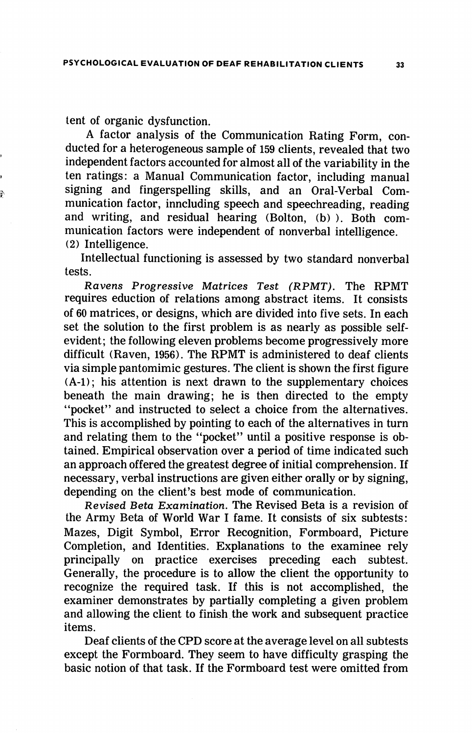tent of organic dysfunction.

A factor analysis of the Communication Rating Form, con ducted for a heterogeneous sample of 159 clients, revealed that two independent factors accounted for almost all of the variability in the ten ratings: a Manual Communication factor, including manual signing and fingerspelling skills, and an Oral-Verbal Com munication factor, inncluding speech and speechreading, reading and writing, and residual hearing (Bolton, (b) ). Both com munication factors were independent of nonverbal intelligence. (2) Intelligence.

Intellectual functioning is assessed by two standard nonverbal tests.

Ravens Progressive Matrices Test (RPMT). The RPMT requires eduction of relations among abstract items. It consists of 60 matrices, or designs, which are divided into five sets. In each set the solution to the first problem is as nearly as possible selfevident; the following eleven problems become progressively more difficult (Raven, 1956). The RPMT is administered to deaf clients via simple pantomimic gestures. The client is shown the first figure (A-1); his attention is next drawn to the supplementary choices beneath the main drawing; he is then directed to the empty "pocket" and instructed to select a choice from the alternatives. This is accomplished by pointing to each of the alternatives in turn and relating them to the "pocket" until a positive response is ob tained. Empirical observation over a period of time indicated such an approach offered the greatest degree of initial comprehension. If necessary, verbal instructions are given either orally or by signing, depending on the client's best mode of communication.

Revised Beta Examination. The Revised Beta is a revision of the Army Beta of World War I fame. It consists of six subtests: Mazes, Digit Symbol, Error Recognition, Formboard, Picture Completion, and Identities. Explanations to the examinee rely principally on practice exercises preceding each subtest. Generally, the procedure is to allow the client the opportunity to recognize the required task. If this is not accomplished, the examiner demonstrates by partially completing a given problem and allowing the client to finish the work and subsequent practice items.

Deaf clients of the CPD score at the average level on all subtests except the Formboard. They seem to have difficulty grasping the basic notion of that task. If the Formboard test were omitted from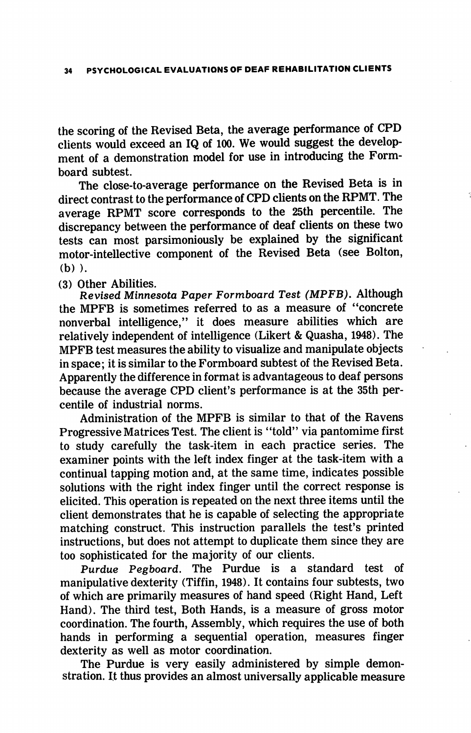the scoring of the Revised Beta, the average performance of CPD clients would exceed an IQ of 100. We would suggest the develop ment of a demonstration model for use in introducing the Formboard subtest.

The close-to-average performance on the Revised Beta is in direct contrast to the performance of CPD clients on the RPMT. The average RPMT score corresponds to the 25th percentile. The discrepancy between the performance of deaf clients on these two tests can most parsimoniously be explained by the significant motor-intellective component of the Revised Beta (see Bolton, (b) ).

(3) Other Abilities.

Revised Minnesota Paper Formboard Test (MPFB). Although the MPFB is sometimes referred to as a measure of "concrete nonverbal intelligence," it does measure abilities which are relatively independent of intelligence (Likert & Quasha, 1948). The MPFB test measures the ability to visualize and manipulate objects in space; it is similar to the Formboard subtest of the Revised Beta. Apparently the difference in format is advantageous to deaf persons because the average CPD client's performance is at the 35th per centile of industrial norms.

Administration of the MPFB is similar to that of the Ravens Progressive Matrices Test. The client is "told" via pantomime first to study carefully the task-item in each practice series. The examiner points with the left index finger at the task-item with a continual tapping motion and, at the same time, indicates possible solutions with the right index finger until the correct response is elicited. This operation is repeated on the next three items until the client demonstrates that he is capable of selecting the appropriate matching construct. This instruction parallels the test's printed instructions, but does not attempt to duplicate them since they are too sophisticated for the majority of our clients.

Purdue Pegboard. The Purdue is a standard test of manipulative dexterity (Tiffin, 1948). It contains four subtests, two of which are primarily measures of hand speed (Right Hand, Left Hand). The third test. Both Hands, is a measure of gross motor coordination. The fourth. Assembly, which requires the use of both hands in performing a sequential operation, measures finger dexterity as well as motor coordination.

The Purdue is very easily administered by simple demon stration. It thus provides an almost universally applicable measure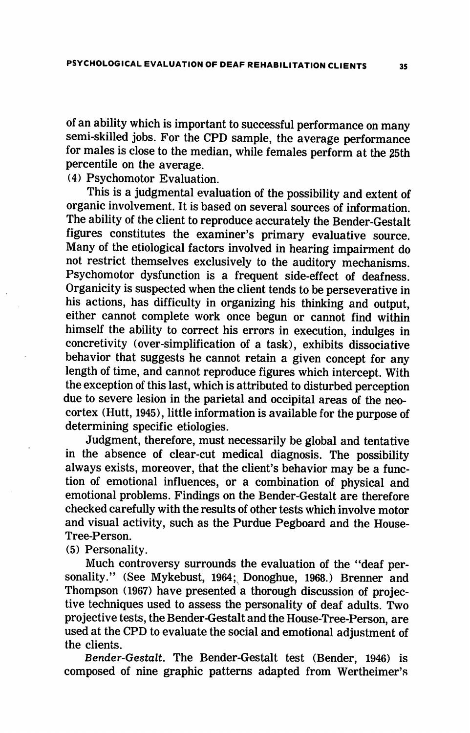of an ability which is important to successful performance on many semi-skilled jobs. For the CPD sample, the average performance for males is close to the median, while females perform at the 25th percentile on the average.

(4) Psychomotor Evaluation.

This is a judgmental evaluation of the possibility and extent of organic involvement. It is based on several sources of information. The ability of the client to reproduce accurately the Bender-Gestalt figures constitutes the examiner's primary evaluative source. Many of the etiological factors involved in hearing impairment do not restrict themselves exclusively to the auditory mechanisms. Psychomotor dysfunction is a frequent side-effect of deafness. Organicity is suspected when the client tends to be perseverative in his actions, has difficulty in organizing his thinking and output, either cannot complete work once begun or cannot find within himself the ability to correct his errors in execution, indulges in concretivity (over-simplification of a task), exhibits dissociative behavior that suggests he cannot retain a given concept for any length of time, and cannot reproduce figures which intercept. With the exception of this last, which is attributed to disturbed perception due to severe lesion in the parietal and occipital areas of the neocortex (Hutt, 1945), little information is available for the purpose of determining specific etiologies.

Judgment, therefore, must necessarily be global and tentative in the absence of clear-cut medical diagnosis. The possibility always exists, moreover, that the client's behavior may be a func tion of emotional influences, or a combination of physical and emotional problems. Findings on the Bender-Gestalt are therefore checked carefully with the results of other tests which involve motor and visual activity, such as the Purdue Pegboard and the House-Tree-Person.

(5) Personality.

Much controversy surrounds the evaluation of the "deaf per sonality." (See Mykebust, 1964; Donoghue, 1968.) Brenner and Thompson (1967) have presented a thorough discussion of projective techniques used to assess the personality of deaf adults. Two projective tests, the Bender-Gestalt and the House-Tree-Person, are used at the CPD to evaluate the social and emotional adjustment of the clients.

Bender-Gestalt. The Bender-Gestalt test (Bender, 1946) is composed of nine graphic patterns adapted from Wertheimer's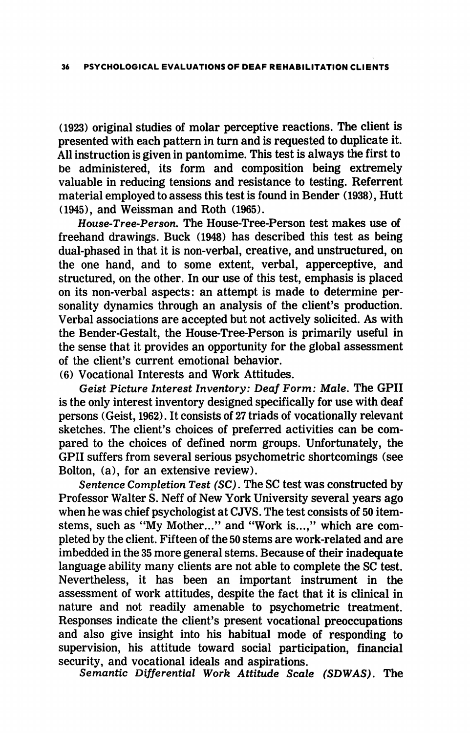(1923) original studies of molar perceptive reactions. The client is presented with each pattern in turn and is requested to duplicate it. All instruction is given in pantomime. This test is always the first to be administered, its form and composition being extremely valuable in reducing tensions and resistance to testing. Referrent material employed to assess this test is found in Bender (1938), Hutt (1945), and Weissman and Roth (1965).

House-Tree-Person. The House-Tree-Person test makes use of freehand drawings. Buck (1948) has described this test as being dual-phased in that it is non-verbal, creative, and unstructured, on the one hand, and to some extent, verbal, apperceptive, and structured, on the other. In our use of this test, emphasis is placed on its non-verbal aspects: an attempt is made to determine per sonality dynamics through an analysis of the client's production. Verbal associations are accepted but not actively solicited. As with the Bender-Gestalt, the House-Tree-Person is primarily useful in the sense that it provides an opportunity for the global assessment of the client's current emotional behavior.

(6) Vocational Interests and Work Attitudes.

Geist Picture Interest Inventory: Deaf Form: Male. The GPII is the only interest inventory designed specifically for use with deaf persons (Geist, 1962). It consists of 27 triads of vocationally relevant sketches. The client's choices of preferred activities can be com pared to the choices of defined norm groups. Unfortunately, the GPII suffers from several serious psychometric shortcomings (see Bolton, (a), for an extensive review).

Sentence Completion Test (SC). The SC test was constructed by Professor Walter S. Neff of New York University several years ago when he was chief psychologist at CJVS. The test consists of 50 itemstems, such as "My Mother..." and "Work is...," which are com pleted by the client. Fifteen of the 50 stems are work-related and are imbedded in the 35 more general stems. Because of their inadequate language ability many clients are not able to complete the SC test. Nevertheless, it has been an important instrument in the assessment of work attitudes, despite the fact that it is clinical in nature and not readily amenable to psychometric treatment. Responses indicate the client's present vocational preoccupations and also give insight into his habitual mode of responding to supervision, his attitude toward social participation, financial security, and vocational ideals and aspirations.

Semantic Differential Work Attitude Scale (SDWAS). The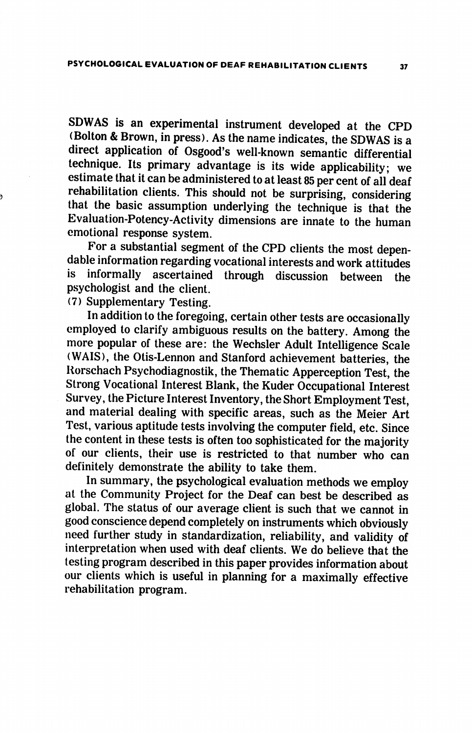SDWAS is an experimental instrument developed at the CPD (Bolton & Brown, in press). As the name indicates, the SDWAS is a direct application of Osgood's well-known semantic differential technique. Its primary advantage is its wide applicability; we estimate that it can be administered to at least 85 per cent of all deaf rehabilitation clients. This should not be surprising, considering that the basic assumption underlying the technique is that the Evaluation-Potency-Activity dimensions are innate to the human emotional response system.

For a substantial segment of the CPD clients the most depen dable information regarding vocational interests and work attitudes is informally ascertained through discussion between the psychologist and the client.

(7) Supplementary Testing.

In addition to the foregoing, certain other tests are occasionally employed to clarify ambiguous results on the battery. Among the more popular of these are: the Wechsler Adult Intelligence Scale (WAIS), the Otis-Lennon and Stanford achievement batteries, the Rorschach Psychodiagnostik, the Thematic Apperception Test, the Strong Vocational Interest Blank, the Kuder Occupational Interest Survey, the Picture Interest Inventory, the Short Employment Test, and material dealing with specific areas, such as the Meier Art Test, various aptitude tests involving the computer field, etc. Since the content in these tests is often too sophisticated for the majority of our clients, their use is restricted to that number who can definitely demonstrate the ability to take them.

In summary, the psychological evaluation methods we employ at the Community Project for the Deaf can best be described as global. The status of our average client is such that we cannot in good conscience depend completely on instruments which obviously need further study in standardization, reliability, and validity of interpretation when used with deaf clients. We do believe that the testing program described in this paper provides information about our clients which is useful in planning for a maximally effective rehabilitation program.